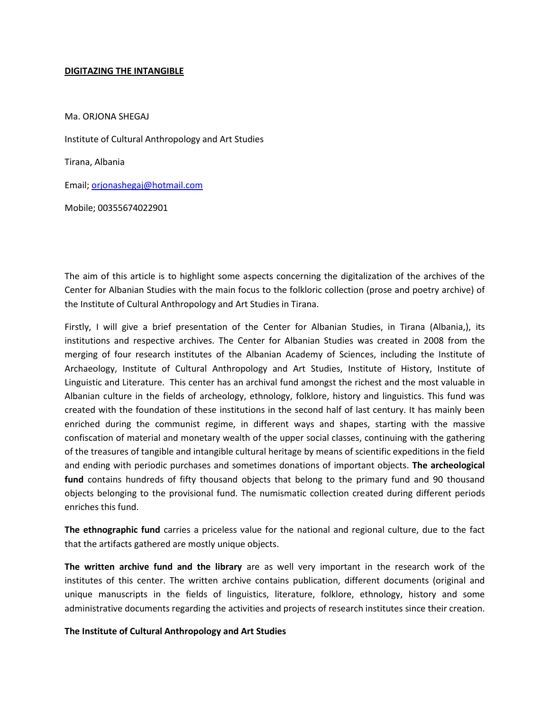## **DIGITAZING THE INTANGIBLE**

Ma. ORJONA SHEGAJ Institute of Cultural Anthropology and Art Studies Tirana, Albania Email; [orjonashegaj@hotmail.com](mailto:orjonashegaj@hotmail.com) Mobile; 00355674022901

The aim of this article is to highlight some aspects concerning the digitalization of the archives of the Center for Albanian Studies with the main focus to the folkloric collection (prose and poetry archive) of the Institute of Cultural Anthropology and Art Studies in Tirana.

Firstly, I will give a brief presentation of the Center for Albanian Studies, in Tirana (Albania,), its institutions and respective archives. The Center for Albanian Studies was created in 2008 from the merging of four research institutes of the Albanian Academy of Sciences, including the Institute of Archaeology, Institute of Cultural Anthropology and Art Studies, Institute of History, Institute of Linguistic and Literature. This center has an archival fund amongst the richest and the most valuable in Albanian culture in the fields of archeology, ethnology, folklore, history and linguistics. This fund was created with the foundation of these institutions in the second half of last century. It has mainly been enriched during the communist regime, in different ways and shapes, starting with the massive confiscation of material and monetary wealth of the upper social classes, continuing with the gathering of the treasures of tangible and intangible cultural heritage by means of scientific expeditions in the field and ending with periodic purchases and sometimes donations of important objects. **The archeological fund** contains hundreds of fifty thousand objects that belong to the primary fund and 90 thousand objects belonging to the provisional fund. The numismatic collection created during different periods enriches this fund.

**The ethnographic fund** carries a priceless value for the national and regional culture, due to the fact that the artifacts gathered are mostly unique objects.

**The written archive fund and the library** are as well very important in the research work of the institutes of this center. The written archive contains publication, different documents (original and unique manuscripts in the fields of linguistics, literature, folklore, ethnology, history and some administrative documents regarding the activities and projects of research institutes since their creation.

## **The Institute of Cultural Anthropology and Art Studies**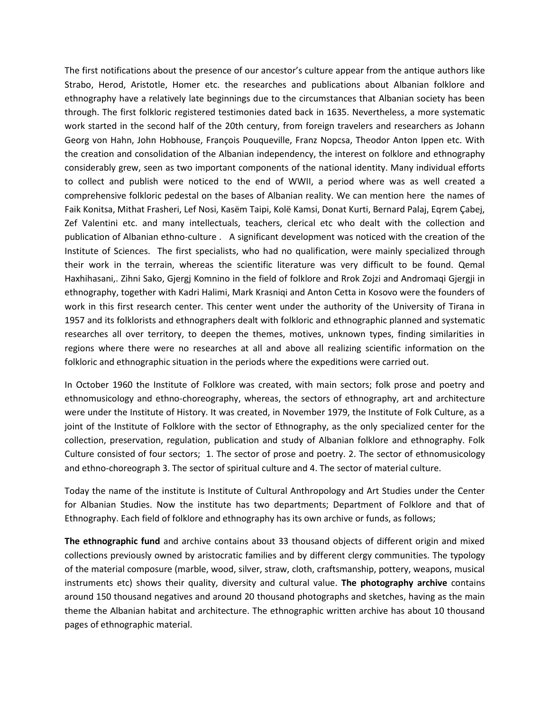The first notifications about the presence of our ancestor's culture appear from the antique authors like Strabo, Herod, Aristotle, Homer etc. the researches and publications about Albanian folklore and ethnography have a relatively late beginnings due to the circumstances that Albanian society has been through. The first folkloric registered testimonies dated back in 1635. Nevertheless, a more systematic work started in the second half of the 20th century, from foreign travelers and researchers as Johann Georg von Hahn, John Hobhouse, François Pouqueville, Franz Nopcsa, Theodor Anton Ippen etc. With the creation and consolidation of the Albanian independency, the interest on folklore and ethnography considerably grew, seen as two important components of the national identity. Many individual efforts to collect and publish were noticed to the end of WWII, a period where was as well created a comprehensive folkloric pedestal on the bases of Albanian reality. We can mention here the names of Faik Konitsa, Mithat Frasheri, Lef Nosi, Kasëm Taipi, Kolë Kamsi, Donat Kurti, Bernard Palaj, Eqrem Çabej, Zef Valentini etc. and many intellectuals, teachers, clerical etc who dealt with the collection and publication of Albanian ethno-culture . A significant development was noticed with the creation of the Institute of Sciences. The first specialists, who had no qualification, were mainly specialized through their work in the terrain, whereas the scientific literature was very difficult to be found. Qemal Haxhihasani,. Zihni Sako, Gjergj Komnino in the field of folklore and Rrok Zojzi and Andromaqi Gjergji in ethnography, together with Kadri Halimi, Mark Krasniqi and Anton Cetta in Kosovo were the founders of work in this first research center. This center went under the authority of the University of Tirana in 1957 and its folklorists and ethnographers dealt with folkloric and ethnographic planned and systematic researches all over territory, to deepen the themes, motives, unknown types, finding similarities in regions where there were no researches at all and above all realizing scientific information on the folkloric and ethnographic situation in the periods where the expeditions were carried out.

In October 1960 the Institute of Folklore was created, with main sectors; folk prose and poetry and ethnomusicology and ethno-choreography, whereas, the sectors of ethnography, art and architecture were under the Institute of History. It was created, in November 1979, the Institute of Folk Culture, as a joint of the Institute of Folklore with the sector of Ethnography, as the only specialized center for the collection, preservation, regulation, publication and study of Albanian folklore and ethnography. Folk Culture consisted of four sectors; 1. The sector of prose and poetry. 2. The sector of ethnomusicology and ethno-choreograph 3. The sector of spiritual culture and 4. The sector of material culture.

Today the name of the institute is Institute of Cultural Anthropology and Art Studies under the Center for Albanian Studies. Now the institute has two departments; Department of Folklore and that of Ethnography. Each field of folklore and ethnography has its own archive or funds, as follows;

**The ethnographic fund** and archive contains about 33 thousand objects of different origin and mixed collections previously owned by aristocratic families and by different clergy communities. The typology of the material composure (marble, wood, silver, straw, cloth, craftsmanship, pottery, weapons, musical instruments etc) shows their quality, diversity and cultural value. **The photography archive** contains around 150 thousand negatives and around 20 thousand photographs and sketches, having as the main theme the Albanian habitat and architecture. The ethnographic written archive has about 10 thousand pages of ethnographic material.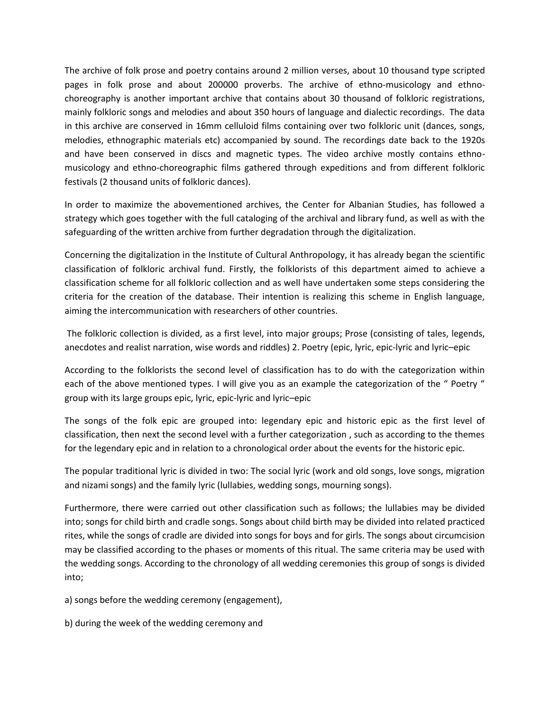The archive of folk prose and poetry contains around 2 million verses, about 10 thousand type scripted pages in folk prose and about 200000 proverbs. The archive of ethno-musicology and ethnochoreography is another important archive that contains about 30 thousand of folkloric registrations, mainly folkloric songs and melodies and about 350 hours of language and dialectic recordings. The data in this archive are conserved in 16mm celluloid films containing over two folkloric unit (dances, songs, melodies, ethnographic materials etc) accompanied by sound. The recordings date back to the 1920s and have been conserved in discs and magnetic types. The video archive mostly contains ethnomusicology and ethno-choreographic films gathered through expeditions and from different folkloric festivals (2 thousand units of folkloric dances).

In order to maximize the abovementioned archives, the Center for Albanian Studies, has followed a strategy which goes together with the full cataloging of the archival and library fund, as well as with the safeguarding of the written archive from further degradation through the digitalization.

Concerning the digitalization in the Institute of Cultural Anthropology, it has already began the scientific classification of folkloric archival fund. Firstly, the folklorists of this department aimed to achieve a classification scheme for all folkloric collection and as well have undertaken some steps considering the criteria for the creation of the database. Their intention is realizing this scheme in English language, aiming the intercommunication with researchers of other countries.

The folkloric collection is divided, as a first level, into major groups; Prose (consisting of tales, legends, anecdotes and realist narration, wise words and riddles) 2. Poetry (epic, lyric, epic-lyric and lyric–epic

According to the folklorists the second level of classification has to do with the categorization within each of the above mentioned types. I will give you as an example the categorization of the " Poetry " group with its large groups epic, lyric, epic-lyric and lyric–epic

The songs of the folk epic are grouped into: legendary epic and historic epic as the first level of classification, then next the second level with a further categorization , such as according to the themes for the legendary epic and in relation to a chronological order about the events for the historic epic.

The popular traditional lyric is divided in two: The social lyric (work and old songs, love songs, migration and nizami songs) and the family lyric (lullabies, wedding songs, mourning songs).

Furthermore, there were carried out other classification such as follows; the lullabies may be divided into; songs for child birth and cradle songs. Songs about child birth may be divided into related practiced rites, while the songs of cradle are divided into songs for boys and for girls. The songs about circumcision may be classified according to the phases or moments of this ritual. The same criteria may be used with the wedding songs. According to the chronology of all wedding ceremonies this group of songs is divided into;

a) songs before the wedding ceremony (engagement),

b) during the week of the wedding ceremony and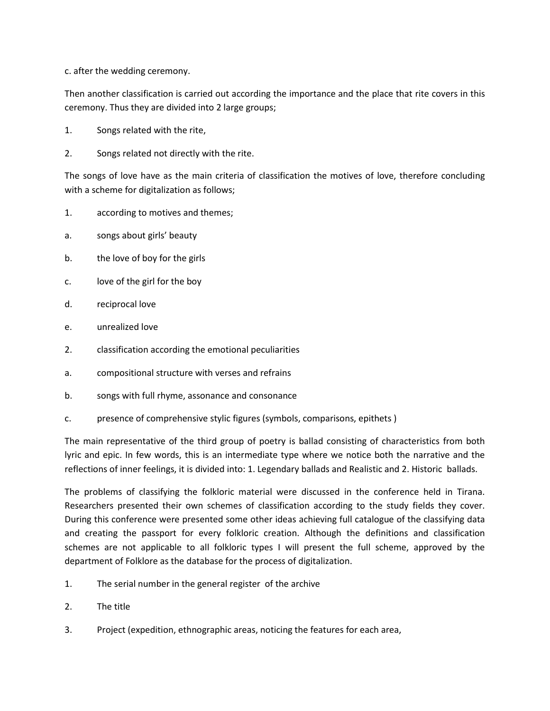c. after the wedding ceremony.

Then another classification is carried out according the importance and the place that rite covers in this ceremony. Thus they are divided into 2 large groups;

- 1. Songs related with the rite,
- 2. Songs related not directly with the rite.

The songs of love have as the main criteria of classification the motives of love, therefore concluding with a scheme for digitalization as follows;

- 1. according to motives and themes;
- a. songs about girls' beauty
- b. the love of boy for the girls
- c. love of the girl for the boy
- d. reciprocal love
- e. unrealized love
- 2. classification according the emotional peculiarities
- a. compositional structure with verses and refrains
- b. songs with full rhyme, assonance and consonance
- c. presence of comprehensive stylic figures (symbols, comparisons, epithets )

The main representative of the third group of poetry is ballad consisting of characteristics from both lyric and epic. In few words, this is an intermediate type where we notice both the narrative and the reflections of inner feelings, it is divided into: 1. Legendary ballads and Realistic and 2. Historic ballads.

The problems of classifying the folkloric material were discussed in the conference held in Tirana. Researchers presented their own schemes of classification according to the study fields they cover. During this conference were presented some other ideas achieving full catalogue of the classifying data and creating the passport for every folkloric creation. Although the definitions and classification schemes are not applicable to all folkloric types I will present the full scheme, approved by the department of Folklore as the database for the process of digitalization.

- 1. The serial number in the general register of the archive
- 2. The title
- 3. Project (expedition, ethnographic areas, noticing the features for each area,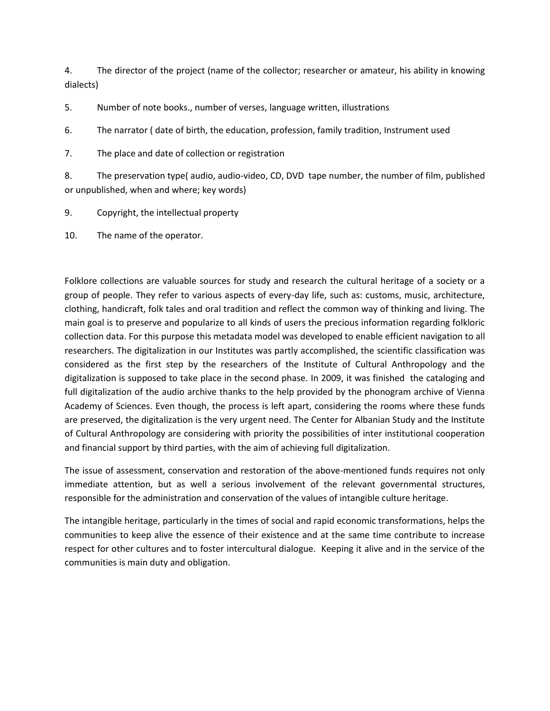4. The director of the project (name of the collector; researcher or amateur, his ability in knowing dialects)

5. Number of note books., number of verses, language written, illustrations

6. The narrator ( date of birth, the education, profession, family tradition, Instrument used

7. The place and date of collection or registration

8. The preservation type( audio, audio-video, CD, DVD tape number, the number of film, published or unpublished, when and where; key words)

9. Copyright, the intellectual property

10. The name of the operator.

Folklore collections are valuable sources for study and research the cultural heritage of a society or a group of people. They refer to various aspects of every-day life, such as: customs, music, architecture, clothing, handicraft, folk tales and oral tradition and reflect the common way of thinking and living. The main goal is to preserve and popularize to all kinds of users the precious information regarding folkloric collection data. For this purpose this metadata model was developed to enable efficient navigation to all researchers. The digitalization in our Institutes was partly accomplished, the scientific classification was considered as the first step by the researchers of the Institute of Cultural Anthropology and the digitalization is supposed to take place in the second phase. In 2009, it was finished the cataloging and full digitalization of the audio archive thanks to the help provided by the phonogram archive of Vienna Academy of Sciences. Even though, the process is left apart, considering the rooms where these funds are preserved, the digitalization is the very urgent need. The Center for Albanian Study and the Institute of Cultural Anthropology are considering with priority the possibilities of inter institutional cooperation and financial support by third parties, with the aim of achieving full digitalization.

The issue of assessment, conservation and restoration of the above-mentioned funds requires not only immediate attention, but as well a serious involvement of the relevant governmental structures, responsible for the administration and conservation of the values of intangible culture heritage.

The intangible heritage, particularly in the times of social and rapid economic transformations, helps the communities to keep alive the essence of their existence and at the same time contribute to increase respect for other cultures and to foster intercultural dialogue. Keeping it alive and in the service of the communities is main duty and obligation.